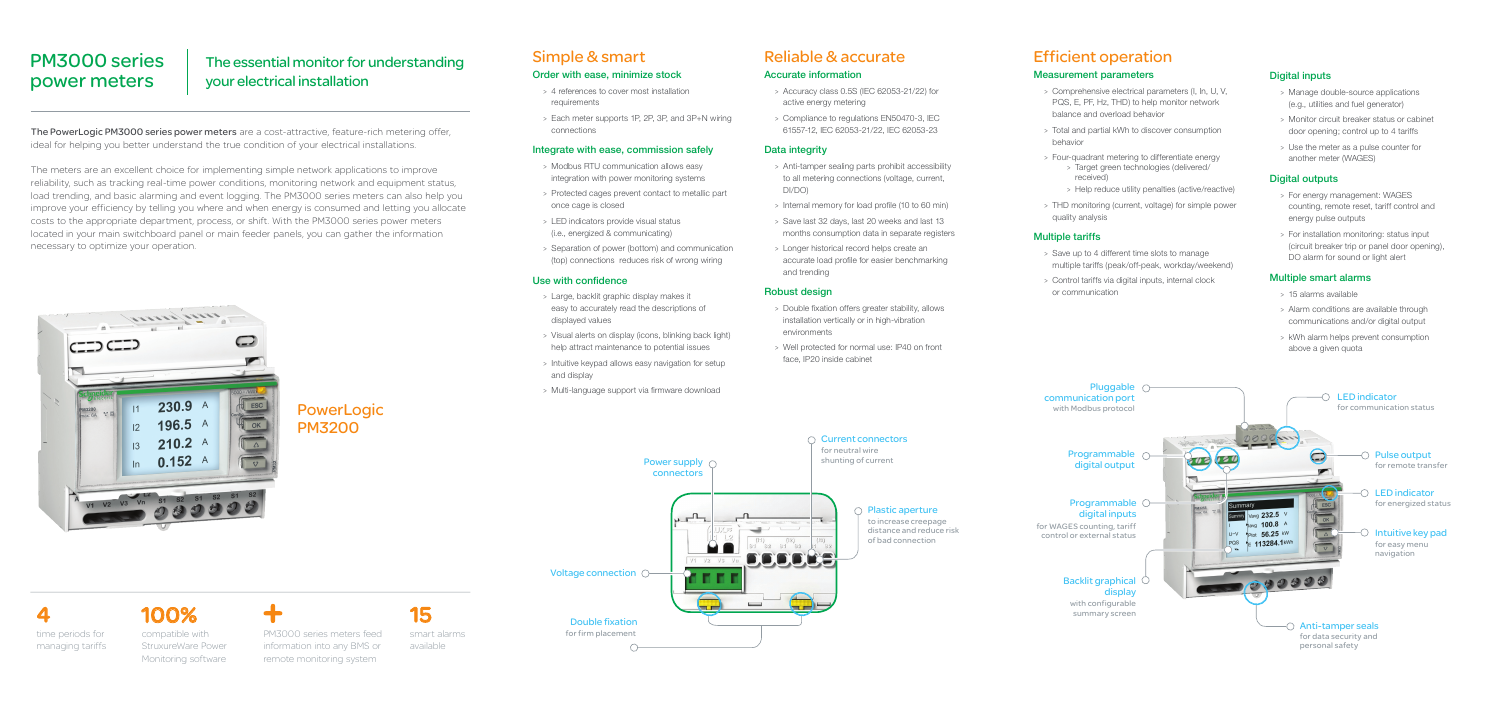# The essential monitor for understanding your electrical installation

# PM3000 series power meters

The PowerLogic PM3000 series power meters are a cost-attractive, feature-rich metering offer, ideal for helping you better understand the true condition of your electrical installations.

The meters are an excellent choice for implementing simple network applications to improve reliability, such as tracking real-time power conditions, monitoring network and equipment status, load trending, and basic alarming and event logging. The PM3000 series meters can also help you improve your efficiency by telling you where and when energy is consumed and letting you allocate costs to the appropriate department, process, or shift. With the PM3000 series power meters located in your main switchboard panel or main feeder panels, you can gather the information necessary to optimize your operation.



#### Accurate information

- > Accuracy class 0.5S (IEC 62053-21/22) for active energy metering
- > Compliance to regulations EN50470-3, IEC 61557-12, IEC 62053-21/22, IEC 62053-23

### Data integrity

- > Anti-tamper sealing parts prohibit accessibility to all metering connections (voltage, current, DI/DO)
- > Internal memory for load profile (10 to 60 min)
- > Save last 32 days, last 20 weeks and last 13 months consumption data in separate registers
- > Longer historical record helps create an accurate load profile for easier benchmarking and trending

#### Robust design

- > Double fixation offers greater stability, allows installation vertically or in high-vibration environments
- > Well protected for normal use: IP40 on front face, IP20 inside cabinet

# Reliable & accurate

#### Order with ease, minimize stock

- > 4 references to cover most installation requirements
- > Each meter supports 1P, 2P, 3P, and 3P+N wiring connections

#### Integrate with ease, commission safely

- > Modbus RTU communication allows easy integration with power monitoring systems
- > Protected cages prevent contact to metallic part once cage is closed
- > LED indicators provide visual status (i.e., energized & communicating)
- > Separation of power (bottom) and communication (top) connections reduces risk of wrong wiring

#### Use with confidence

- > Large, backlit graphic display makes it easy to accurately read the descriptions of displayed values
- > Visual alerts on display (icons, blinking back light) help attract maintenance to potential issues
- > Intuitive keypad allows easy navigation for setup and display
- > Multi-language support via firmware download

# Simple & smart

#### Measurement parameters

- > Comprehensive electrical parameters (I, In, U, V, PQS, E, PF, Hz, THD) to help monitor network balance and overload behavior
- > Total and partial kWh to discover consumption behavior
- > Four-quadrant metering to differentiate energy > Target green technologies (delivered/ received)
	- > Help reduce utility penalties (active/reactive)
- > THD monitoring (current, voltage) for simple power quality analysis

#### Multiple tariffs

- > Save up to 4 different time slots to manage multiple tariffs (peak/off-peak, workday/weekend)
- > Control tariffs via digital inputs, internal clock or communication

# Efficient operation

PowerLogic PM3200

time periods for managing tariffs 4 100%

compatible with StruxureWare Power Monitoring software





available

15

PM3000 series meters feed information into any BMS or remote monitoring system

#### Digital inputs

- > Manage double-source applications (e.g., utilities and fuel generator)
- > Monitor circuit breaker status or cabinet door opening; control up to 4 tariffs
- > Use the meter as a pulse counter for another meter (WAGES)

#### Digital outputs

- > For energy management: WAGES counting, remote reset, tariff control and energy pulse outputs
- > For installation monitoring: status input (circuit breaker trip or panel door opening), DO alarm for sound or light alert

#### Multiple smart alarms

- > 15 alarms available
- > Alarm conditions are available through communications and/or digital output
- > kWh alarm helps prevent consumption above a given quota